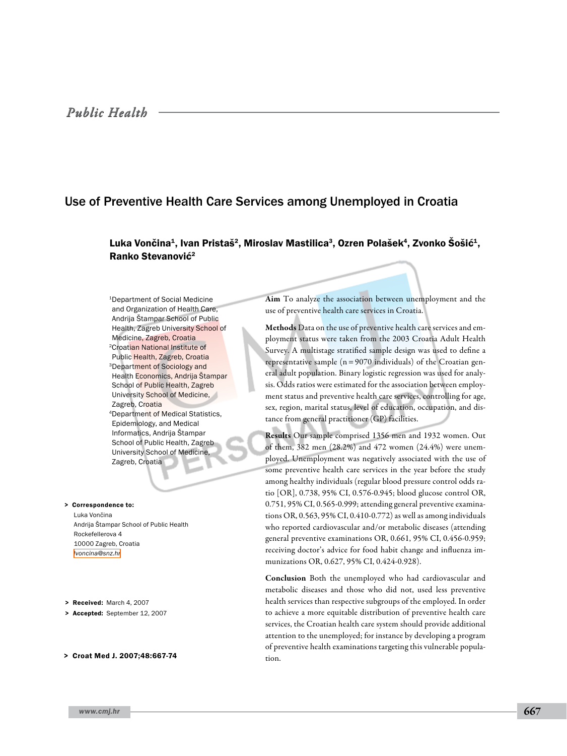# Use of Preventive Health Care Services among Unemployed in Croatia

## Luka Vončina<sup>1</sup>, Ivan Pristaš<sup>2</sup>, Miroslav Mastilica<sup>3</sup>, Ozren Polašek<sup>4</sup>, Zvonko Šošić<sup>1</sup>, Ranko Stevanović<sup>2</sup>

1Department of Social Medicine and Organization of Health Care, Andrija Štampar School of Public Health, Zagreb University School of Medicine, Zagreb, Croatia 2Croatian National Institute of Public Health, Zagreb, Croatia 3Department of Sociology and Health Economics, Andrija Štampar School of Public Health, Zagreb University School of Medicine, Zagreb, Croatia 4Department of Medical Statistics, Epidemiology, and Medical Informatics, Andrija Štampar School of Public Health, Zagreb University School of Medicine, Zagreb, Croatia

> Correspondence to: Luka Vončina Andrija Štampar School of Public Health Rockefellerova 4 10000 Zagreb, Croatia *[lvoncina@snz.hr](mailto: lvoncina@snz.hr )*

- > Received: March 4, 2007
- > Accepted: September 12, 2007
- > Croat Med J. 2007;48:667-74

Aim To analyze the association between unemployment and the use of preventive health care services in Croatia.

Methods Data on the use of preventive health care services and employment status were taken from the 2003 Croatia Adult Health Survey. A multistage stratified sample design was used to define a representative sample  $(n=9070 \text{ individuals})$  of the Croatian general adult population. Binary logistic regression was used for analysis. Odds ratios were estimated for the association between employment status and preventive health care services, controlling for age, sex, region, marital status, level of education, occupation, and distance from general practitioner (GP) facilities.

Results Our sample comprised 1356 men and 1932 women. Out of them, 382 men (28.2%) and 472 women (24.4%) were unemployed. Unemployment was negatively associated with the use of some preventive health care services in the year before the study among healthy individuals (regular blood pressure control odds ratio [OR], 0.738, 95% CI, 0.576-0.945; blood glucose control OR, 0.751, 95% CI, 0.565-0.999; attending general preventive examinations OR, 0.563, 95% CI, 0.410-0.772) as well as among individuals who reported cardiovascular and/or metabolic diseases (attending general preventive examinations OR, 0.661, 95% CI, 0.456-0.959; receiving doctor's advice for food habit change and influenza immunizations OR, 0.627, 95% CI, 0.424-0.928).

Conclusion Both the unemployed who had cardiovascular and metabolic diseases and those who did not, used less preventive health services than respective subgroups of the employed. In order to achieve a more equitable distribution of preventive health care services, the Croatian health care system should provide additional attention to the unemployed; for instance by developing a program of preventive health examinations targeting this vulnerable population.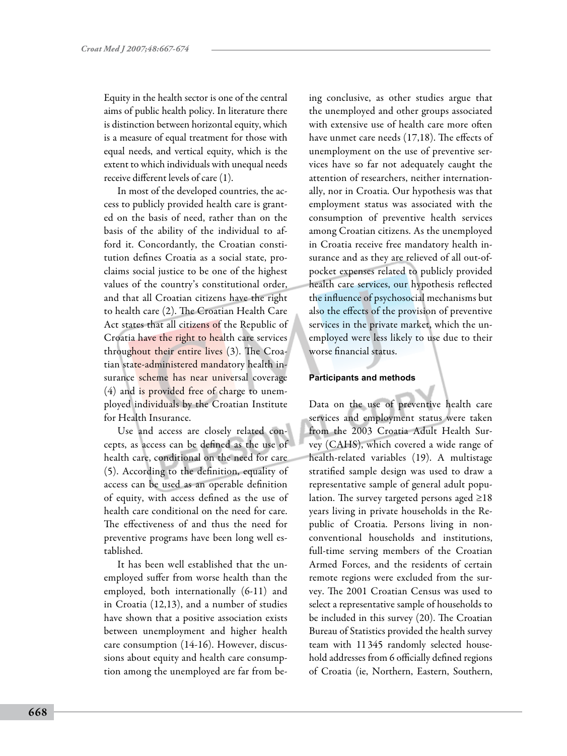Equity in the health sector is one of the central aims of public health policy. In literature there is distinction between horizontal equity, which is a measure of equal treatment for those with equal needs, and vertical equity, which is the extent to which individuals with unequal needs receive different levels of care (1).

In most of the developed countries, the access to publicly provided health care is granted on the basis of need, rather than on the basis of the ability of the individual to afford it. Concordantly, the Croatian constitution defines Croatia as a social state, proclaims social justice to be one of the highest values of the country's constitutional order, and that all Croatian citizens have the right to health care (2). The Croatian Health Care Act states that all citizens of the Republic of Croatia have the right to health care services throughout their entire lives (3). The Croatian state-administered mandatory health insurance scheme has near universal coverage (4) and is provided free of charge to unemployed individuals by the Croatian Institute for Health Insurance.

Use and access are closely related concepts, as access can be defined as the use of health care, conditional on the need for care (5). According to the definition, equality of access can be used as an operable definition of equity, with access defined as the use of health care conditional on the need for care. The effectiveness of and thus the need for preventive programs have been long well established.

It has been well established that the unemployed suffer from worse health than the employed, both internationally (6-11) and in Croatia (12,13), and a number of studies have shown that a positive association exists between unemployment and higher health care consumption (14-16). However, discussions about equity and health care consumption among the unemployed are far from be-

ing conclusive, as other studies argue that the unemployed and other groups associated with extensive use of health care more often have unmet care needs (17,18). The effects of unemployment on the use of preventive services have so far not adequately caught the attention of researchers, neither internationally, nor in Croatia. Our hypothesis was that employment status was associated with the consumption of preventive health services among Croatian citizens. As the unemployed in Croatia receive free mandatory health insurance and as they are relieved of all out-ofpocket expenses related to publicly provided health care services, our hypothesis reflected the influence of psychosocial mechanisms but also the effects of the provision of preventive services in the private market, which the unemployed were less likely to use due to their worse financial status.

## **Participants and methods**

Data on the use of preventive health care services and employment status were taken from the 2003 Croatia Adult Health Survey (CAHS), which covered a wide range of health-related variables (19). A multistage stratified sample design was used to draw a representative sample of general adult population. The survey targeted persons aged ≥18 years living in private households in the Republic of Croatia. Persons living in nonconventional households and institutions, full-time serving members of the Croatian Armed Forces, and the residents of certain remote regions were excluded from the survey. The 2001 Croatian Census was used to select a representative sample of households to be included in this survey (20). The Croatian Bureau of Statistics provided the health survey team with 11 345 randomly selected household addresses from 6 officially defined regions of Croatia (ie, Northern, Eastern, Southern,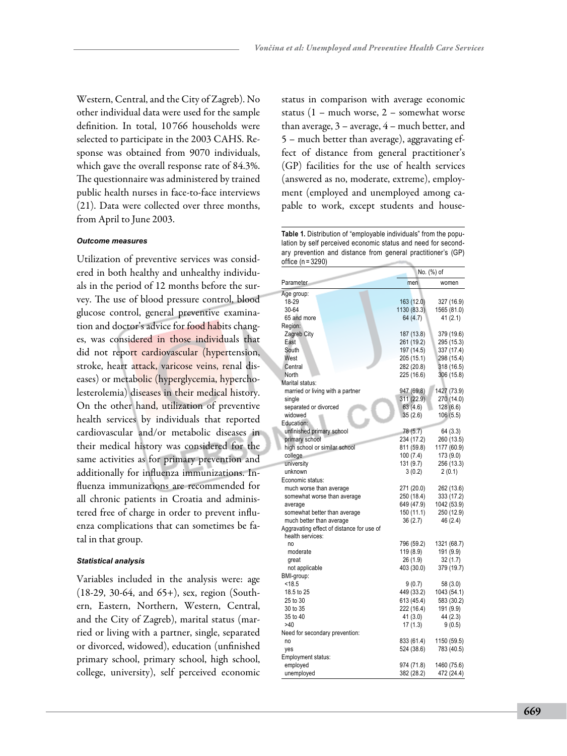Western, Central, and the City of Zagreb). No other individual data were used for the sample definition. In total, 10 766 households were selected to participate in the 2003 CAHS. Response was obtained from 9070 individuals, which gave the overall response rate of 84.3%. The questionnaire was administered by trained public health nurses in face-to-face interviews (21). Data were collected over three months, from April to June 2003.

#### *Outcome measures*

Utilization of preventive services was considered in both healthy and unhealthy individuals in the period of 12 months before the survey. The use of blood pressure control, blood glucose control, general preventive examination and doctor's advice for food habits changes, was considered in those individuals that did not report cardiovascular (hypertension, stroke, heart attack, varicose veins, renal diseases) or metabolic (hyperglycemia, hypercholesterolemia) diseases in their medical history. On the other hand, utilization of preventive health services by individuals that reported cardiovascular and/or metabolic diseases in their medical history was considered for the same activities as for primary prevention and additionally for influenza immunizations. Influenza immunizations are recommended for all chronic patients in Croatia and administered free of charge in order to prevent influenza complications that can sometimes be fatal in that group.

#### *Statistical analysis*

Variables included in the analysis were: age (18-29, 30-64, and 65+), sex, region (Southern, Eastern, Northern, Western, Central, and the City of Zagreb), marital status (married or living with a partner, single, separated or divorced, widowed), education (unfinished primary school, primary school, high school, college, university), self perceived economic status in comparison with average economic status (1 – much worse, 2 – somewhat worse than average, 3 – average, 4 – much better, and 5 – much better than average), aggravating effect of distance from general practitioner's (GP) facilities for the use of health services (answered as no, moderate, extreme), employment (employed and unemployed among capable to work, except students and house-

**Table 1.** Distribution of "employable individuals" from the population by self perceived economic status and need for secondary prevention and distance from general practitioner's (GP) office (n = 3290)

|                                                               | No. (%) of  |             |  |
|---------------------------------------------------------------|-------------|-------------|--|
| Parameter                                                     | men         | women       |  |
| Age group:                                                    |             |             |  |
| 18-29                                                         | 163 (12.0)  | 327 (16.9)  |  |
| 30-64                                                         | 1130 (83.3) | 1565 (81.0) |  |
| 65 and more                                                   | 64 (4.7)    | 41 (2.1)    |  |
| Region:                                                       |             |             |  |
| Zagreb City                                                   | 187 (13.8)  | 379 (19.6)  |  |
| East                                                          | 261 (19.2)  | 295 (15.3)  |  |
| South                                                         | 197 (14.5)  | 337 (17.4)  |  |
| West                                                          | 205 (15.1)  | 298 (15.4)  |  |
| Central                                                       | 282 (20.8)  | 318 (16.5)  |  |
| North                                                         | 225 (16.6)  | 306 (15.8)  |  |
| Marital status:                                               |             |             |  |
| married or living with a partner                              | 947 (69.8)  | 1427 (73.9) |  |
| single                                                        | 311 (22.9)  | 270 (14.0)  |  |
| separated or divorced                                         | 63 (4.6)    | 128 (6.6)   |  |
| widowed                                                       | 35(2.6)     | 106(5.5)    |  |
| Education:                                                    |             |             |  |
| unfinished primary school                                     | 78 (5.7)    | 64 (3.3)    |  |
| primary school                                                | 234 (17.2)  | 260 (13.5)  |  |
| high school or similar school                                 | 811 (59.8)  | 1177 (60.9) |  |
| college                                                       | 100 (7.4)   | 173 (9.0)   |  |
| university                                                    | 131 (9.7)   | 256 (13.3)  |  |
| unknown                                                       | 3(0.2)      | 2(0.1)      |  |
| Economic status:                                              |             |             |  |
| much worse than average                                       | 271 (20.0)  | 262 (13.6)  |  |
| somewhat worse than average                                   | 250 (18.4)  | 333 (17.2)  |  |
| average                                                       | 649 (47.9)  | 1042 (53.9) |  |
| somewhat better than average                                  | 150 (11.1)  | 250 (12.9)  |  |
| much better than average                                      | 36 (2.7)    | 46 (2.4)    |  |
| Aggravating effect of distance for use of<br>health services: |             |             |  |
| no                                                            | 796 (59.2)  | 1321 (68.7) |  |
| moderate                                                      | 119 (8.9)   | 191 (9.9)   |  |
| great                                                         | 26 (1.9)    | 32 (1.7)    |  |
| not applicable                                                | 403 (30.0)  | 379 (19.7)  |  |
| BMI-group:                                                    |             |             |  |
| < 18.5                                                        | 9 (0.7)     | 58 (3.0)    |  |
| 18.5 to 25                                                    | 449 (33.2)  | 1043 (54.1) |  |
| 25 to 30                                                      | 613 (45.4)  | 583 (30.2)  |  |
| 30 to 35                                                      | 222 (16.4)  | 191 (9.9)   |  |
| 35 to 40                                                      | 41 (3.0)    | 44 (2.3)    |  |
| >40                                                           | 17(1.3)     | 9(0.5)      |  |
| Need for secondary prevention:                                |             |             |  |
| no                                                            | 833 (61.4)  | 1150 (59.5) |  |
| yes                                                           | 524 (38.6)  | 783 (40.5)  |  |
| Employment status:                                            |             |             |  |
| employed                                                      | 974 (71.8)  | 1460 (75.6) |  |
| unemployed                                                    | 382 (28.2)  | 472 (24.4)  |  |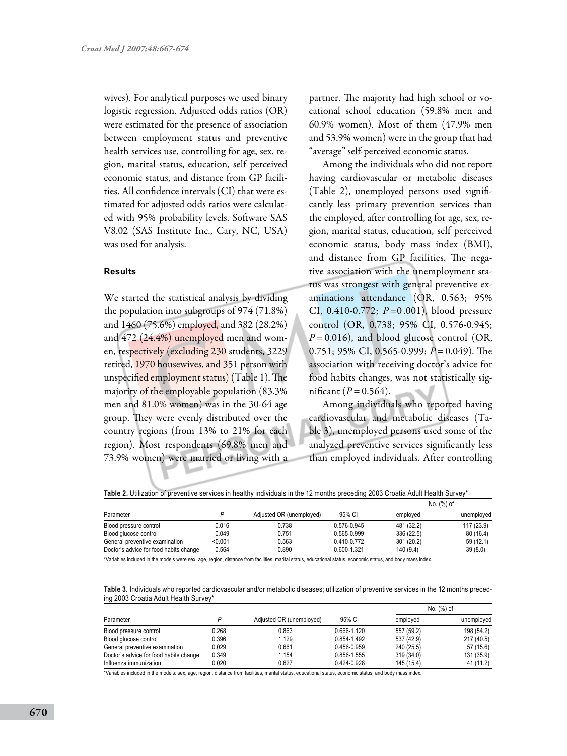wives). For analytical purposes we used binary logistic regression. Adjusted odds ratios (OR) were estimated for the presence of association between employment status and preventive health services use, controlling for age, sex, region, marital status, education, self perceived economic status, and distance from GP facilities. All confidence intervals (CI) that were estimated for adjusted odds ratios were calculated with 95% probability levels. Software SAS V8.02 (SAS Institute Inc., Cary, NC, USA) was used for analysis.

### **Results**

We started the statistical analysis by dividing the population into subgroups of 974 (71.8%) and 1460 (75.6%) employed, and 382 (28.2%) and 472 (24.4%) unemployed men and women, respectively (excluding 230 students, 3229 retired, 1970 housewives, and 351 person with unspecified employment status) (Table 1). The majority of the employable population (83.3% men and 81.0% women) was in the 30-64 age group. They were evenly distributed over the country regions (from 13% to 21% for each region). Most respondents (69.8% men and 73.9% women) were married or living with a

partner. The majority had high school or vocational school education (59.8% men and 60.9% women). Most of them (47.9% men and 53.9% women) were in the group that had "average" self-perceived economic status.

Among the individuals who did not report having cardiovascular or metabolic diseases (Table 2), unemployed persons used significantly less primary prevention services than the employed, after controlling for age, sex, region, marital status, education, self perceived economic status, body mass index (BMI), and distance from GP facilities. The negative association with the unemployment status was strongest with general preventive examinations attendance (OR, 0.563; 95% CI, 0.410-0.772; *P*=0 .001), blood pressure control (OR, 0.738; 95% CI, 0.576-0.945; *P*=0.016), and blood glucose control (OR, 0.751; 95% CI, 0.565-0.999; *P*=0.049). The association with receiving doctor's advice for food habits changes, was not statistically significant ( $P = 0.564$ ).

Among individuals who reported having cardiovascular and metabolic diseases (Table 3), unemployed persons used some of the analyzed preventive services significantly less than employed individuals. After controlling

| Table 2. Utilization of preventive services in healthy individuals in the 12 months preceding 2003 Croatia Adult Health Survey* |         |                          |             |            |            |  |  |
|---------------------------------------------------------------------------------------------------------------------------------|---------|--------------------------|-------------|------------|------------|--|--|
| Parameter                                                                                                                       |         | Adjusted OR (unemployed) | 95% CI      | No. (%) of |            |  |  |
|                                                                                                                                 |         |                          |             | emploved   | unemployed |  |  |
| Blood pressure control                                                                                                          | 0.016   | 0.738                    | 0.576-0.945 | 481 (32.2) | 117 (23.9) |  |  |
| Blood glucose control                                                                                                           | 0.049   | 0.751                    | 0.565-0.999 | 336 (22.5) | 80 (16.4)  |  |  |
| General preventive examination                                                                                                  | < 0.001 | 0.563                    | 0.410-0.772 | 301 (20.2) | 59 (12.1)  |  |  |
| Doctor's advice for food habits change                                                                                          | 0.564   | 0.890                    | 0.600-1.321 | 140 (9.4)  | 39(8.0)    |  |  |

\*Variables included in the models were sex, age, region, distance from facilities, marital status, educational status, economic status, and body mass index.

**Table 3.** Individuals who reported cardiovascular and/or metabolic diseases; utilization of preventive services in the 12 months preceding 2003 Croatia Adult Health Survey\*

| Parameter                              | D     | Adjusted OR (unemployed) | 95% CI      | No. (%) of |            |
|----------------------------------------|-------|--------------------------|-------------|------------|------------|
|                                        |       |                          |             | emploved   | unemployed |
| Blood pressure control                 | 0.268 | 0.863                    | 0.666-1.120 | 557 (59.2) | 198 (54.2) |
| Blood glucose control                  | 0.396 | 1.129                    | 0.854-1.492 | 537 (42.9) | 217 (40.5) |
| General preventive examination         | 0.029 | 0.661                    | 0.456-0.959 | 240 (25.5) | 57 (15.6)  |
| Doctor's advice for food habits change | 0.349 | 1.154                    | 0.856-1.555 | 319 (34.0) | 131 (35.9) |
| Influenza immunization                 | 0.020 | 0.627                    | 0.424-0.928 | 145 (15.4) | 41 (11.2)  |

\*Variables included in the models: sex, age, region, distance from facilities, marital status, educational status, economic status, and body mass index.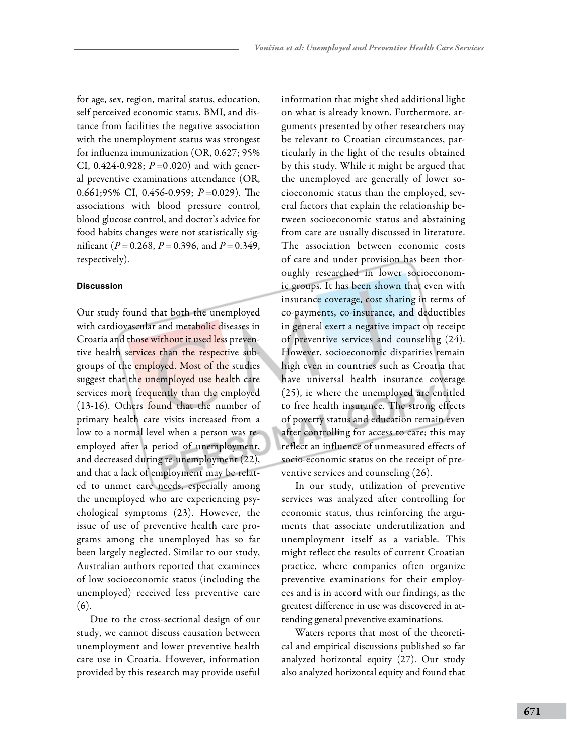for age, sex, region, marital status, education, self perceived economic status, BMI, and distance from facilities the negative association with the unemployment status was strongest for influenza immunization (OR, 0.627; 95% CI, 0.424-0.928; *P*=0 .020) and with general preventive examinations attendance (OR, 0.661;95% CI, 0.456-0.959; *P*=0.029). The associations with blood pressure control, blood glucose control, and doctor's advice for food habits changes were not statistically significant (*P*=0.268, *P*=0.396, and *P*=0.349, respectively).

## **Discussion**

Our study found that both the unemployed with cardiovascular and metabolic diseases in Croatia and those without it used less preventive health services than the respective subgroups of the employed. Most of the studies suggest that the unemployed use health care services more frequently than the employed (13-16). Others found that the number of primary health care visits increased from a low to a normal level when a person was reemployed after a period of unemployment, and decreased during re-unemployment (22), and that a lack of employment may be related to unmet care needs, especially among the unemployed who are experiencing psychological symptoms (23). However, the issue of use of preventive health care programs among the unemployed has so far been largely neglected. Similar to our study, Australian authors reported that examinees of low socioeconomic status (including the unemployed) received less preventive care (6).

Due to the cross-sectional design of our study, we cannot discuss causation between unemployment and lower preventive health care use in Croatia. However, information provided by this research may provide useful

information that might shed additional light on what is already known. Furthermore, arguments presented by other researchers may be relevant to Croatian circumstances, particularly in the light of the results obtained by this study. While it might be argued that the unemployed are generally of lower socioeconomic status than the employed, several factors that explain the relationship between socioeconomic status and abstaining from care are usually discussed in literature. The association between economic costs of care and under provision has been thoroughly researched in lower socioeconomic groups. It has been shown that even with insurance coverage, cost sharing in terms of co-payments, co-insurance, and deductibles in general exert a negative impact on receipt of preventive services and counseling (24). However, socioeconomic disparities remain high even in countries such as Croatia that have universal health insurance coverage (25), ie where the unemployed are entitled to free health insurance. The strong effects of poverty status and education remain even after controlling for access to care; this may reflect an influence of unmeasured effects of socio-economic status on the receipt of preventive services and counseling (26).

In our study, utilization of preventive services was analyzed after controlling for economic status, thus reinforcing the arguments that associate underutilization and unemployment itself as a variable. This might reflect the results of current Croatian practice, where companies often organize preventive examinations for their employees and is in accord with our findings, as the greatest difference in use was discovered in attending general preventive examinations.

Waters reports that most of the theoretical and empirical discussions published so far analyzed horizontal equity (27). Our study also analyzed horizontal equity and found that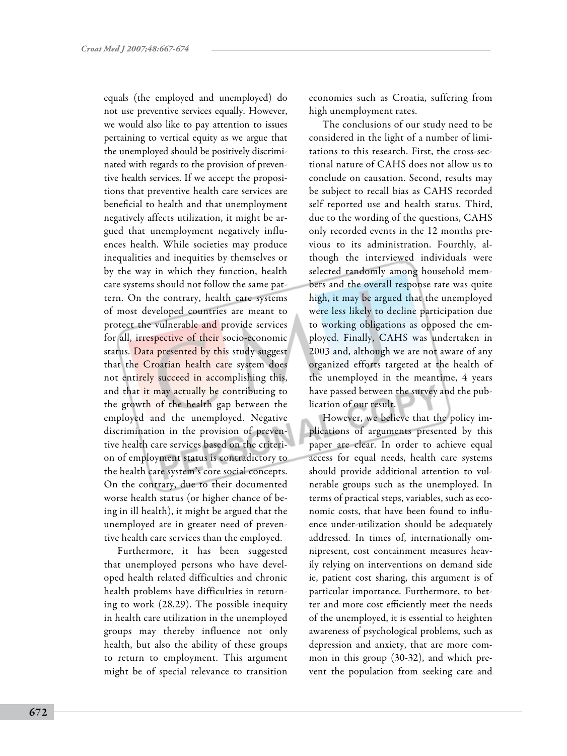equals (the employed and unemployed) do not use preventive services equally. However, we would also like to pay attention to issues pertaining to vertical equity as we argue that the unemployed should be positively discriminated with regards to the provision of preventive health services. If we accept the propositions that preventive health care services are beneficial to health and that unemployment negatively affects utilization, it might be argued that unemployment negatively influences health. While societies may produce inequalities and inequities by themselves or by the way in which they function, health care systems should not follow the same pattern. On the contrary, health care systems of most developed countries are meant to protect the vulnerable and provide services for all, irrespective of their socio-economic status. Data presented by this study suggest that the Croatian health care system does not entirely succeed in accomplishing this, and that it may actually be contributing to the growth of the health gap between the employed and the unemployed. Negative discrimination in the provision of preventive health care services based on the criterion of employment status is contradictory to the health care system's core social concepts. On the contrary, due to their documented worse health status (or higher chance of being in ill health), it might be argued that the unemployed are in greater need of preventive health care services than the employed.

Furthermore, it has been suggested that unemployed persons who have developed health related difficulties and chronic health problems have difficulties in returning to work (28,29). The possible inequity in health care utilization in the unemployed groups may thereby influence not only health, but also the ability of these groups to return to employment. This argument might be of special relevance to transition

economies such as Croatia, suffering from high unemployment rates.

The conclusions of our study need to be considered in the light of a number of limitations to this research. First, the cross-sectional nature of CAHS does not allow us to conclude on causation. Second, results may be subject to recall bias as CAHS recorded self reported use and health status. Third, due to the wording of the questions, CAHS only recorded events in the 12 months previous to its administration. Fourthly, although the interviewed individuals were selected randomly among household members and the overall response rate was quite high, it may be argued that the unemployed were less likely to decline participation due to working obligations as opposed the employed. Finally, CAHS was undertaken in 2003 and, although we are not aware of any organized efforts targeted at the health of the unemployed in the meantime, 4 years have passed between the survey and the publication of our result.

However, we believe that the policy implications of arguments presented by this paper are clear. In order to achieve equal access for equal needs, health care systems should provide additional attention to vulnerable groups such as the unemployed. In terms of practical steps, variables, such as economic costs, that have been found to influence under-utilization should be adequately addressed. In times of, internationally omnipresent, cost containment measures heavily relying on interventions on demand side ie, patient cost sharing, this argument is of particular importance. Furthermore, to better and more cost efficiently meet the needs of the unemployed, it is essential to heighten awareness of psychological problems, such as depression and anxiety, that are more common in this group (30-32), and which prevent the population from seeking care and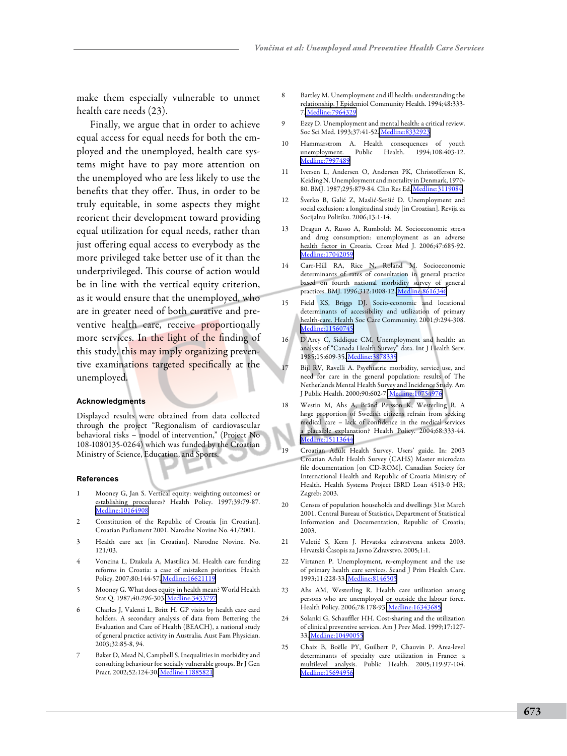make them especially vulnerable to unmet health care needs (23).

Finally, we argue that in order to achieve equal access for equal needs for both the employed and the unemployed, health care systems might have to pay more attention on the unemployed who are less likely to use the benefits that they offer. Thus, in order to be truly equitable, in some aspects they might reorient their development toward providing equal utilization for equal needs, rather than just offering equal access to everybody as the more privileged take better use of it than the underprivileged. This course of action would be in line with the vertical equity criterion, as it would ensure that the unemployed, who are in greater need of both curative and preventive health care, receive proportionally more services. In the light of the finding of this study, this may imply organizing preventive examinations targeted specifically at the unemployed.

#### **Acknowledgments**

Displayed results were obtained from data collected through the project "Regionalism of cardiovascular behavioral risks – model of intervention," (Project No 108-1080135-0264) which was funded by the Croatian Ministry of Science, Education, and Sports.

#### **References**

- 1 Mooney G, Jan S. Vertical equity: weighting outcomes? or establishing procedures? Health Policy. 1997;39:79-87. [Medline:10164908](http://www.ncbi.nlm.nih.gov/sites/entrez?cmd=Retrieve&db=PubMed&list_uids=10164908&dopt=Abstrac)
- Constitution of the Republic of Croatia [in Croatian]. Croatian Parliament 2001. Narodne Novine No. 41/2001.
- Health care act [in Croatian]. Narodne Novine. No. 121/03.
- Voncina L, Dzakula A, Mastilica M. Health care funding reforms in Croatia: a case of mistaken priorities. Health Policy. 2007;80:144-57[. Medline:16621119](http://www.ncbi.nlm.nih.gov/sites/entrez?cmd=Retrieve&db=PubMed&list_uids=16621119&dopt=Abstrac)
- 5 Mooney G. What does equity in health mean? World Health Stat Q. 1987;40:296-303[. Medline:3433797](http://www.ncbi.nlm.nih.gov/sites/entrez?cmd=Retrieve&db=PubMed&list_uids=3433797&dopt=Abstrac)
- 6 Charles J, Valenti L, Britt H. GP visits by health care card holders. A secondary analysis of data from Bettering the Evaluation and Care of Health (BEACH), a national study of general practice activity in Australia. Aust Fam Physician. 2003;32:85-8, 94.
- Baker D, Mead N, Campbell S. Inequalities in morbidity and consulting behaviour for socially vulnerable groups. Br J Gen Pract. 2002;52:124-30. [Medline:11885821](http://www.ncbi.nlm.nih.gov/sites/entrez?cmd=Retrieve&db=PubMed&list_uids=11885821&dopt=Abstrac)
- 8 Bartley M. Unemployment and ill health: understanding the relationship. J Epidemiol Community Health. 1994;48:333- 7. [Medline:7964329](http://www.ncbi.nlm.nih.gov/sites/entrez?cmd=Retrieve&db=PubMed&list_uids=7964329&dopt=Abstrac)
- 9 Ezzy D. Unemployment and mental health: a critical review. Soc Sci Med. 1993;37:41-52. [Medline:8332923](http://www.ncbi.nlm.nih.gov/sites/entrez?cmd=Retrieve&db=PubMed&list_uids=8332923&dopt=Abstrac)
- 10 Hammarstrom A. Health consequences of youth unemployment. Public Health. 1994;108:403-12. [Medline:7997489](http://www.ncbi.nlm.nih.gov/sites/entrez?cmd=Retrieve&db=PubMed&list_uids=7997489&dopt=Abstrac)
- 11 Iversen L, Andersen O, Andersen PK, Christoffersen K, Keiding N. Unemployment and mortality in Denmark, 1970- 80. BMJ. 1987;295:879-84. Clin Res Ed[. Medline:3119084](http://www.ncbi.nlm.nih.gov/sites/entrez?cmd=Retrieve&db=PubMed&list_uids=3119084&dopt=Abstrac)
- 12 Šverko B, Galić Z, Maslić-Seršić D. Unemployment and social exclusion: a longitudinal study [in Croatian]. Revija za Socijalnu Politiku. 2006;13:1-14.
- 13 Dragun A, Russo A, Rumboldt M. Socioeconomic stress and drug consumption: unemployment as an adverse health factor in Croatia. Croat Med J. 2006;47:685-92. [Medline:17042059](http://www.ncbi.nlm.nih.gov/sites/entrez?cmd=Retrieve&db=PubMed&list_uids=17042059&dopt=Abstrac)
- 14 Carr-Hill RA, Rice N, Roland M. Socioeconomic determinants of rates of consultation in general practice based on fourth national morbidity survey of general practices. BMJ. 1996;312:1008-12[. Medline:8616346](http://www.ncbi.nlm.nih.gov/sites/entrez?cmd=Retrieve&db=PubMed&list_uids=8616346&dopt=Abstrac)
- 15 Field KS, Briggs DJ. Socio-economic and locational determinants of accessibility and utilization of primary health-care. Health Soc Care Community. 2001;9:294-308. [Medline:11560745](http://www.ncbi.nlm.nih.gov/sites/entrez?cmd=Retrieve&db=PubMed&list_uids=11560745&dopt=Abstrac)
- 16 D'Arcy C, Siddique CM. Unemployment and health: an analysis of "Canada Health Survey" data. Int J Health Serv. 1985;15:609-35. [Medline:3878339](http://www.ncbi.nlm.nih.gov/sites/entrez?cmd=Retrieve&db=PubMed&list_uids=3878339&dopt=Abstrac)
- Bijl RV, Ravelli A. Psychiatric morbidity, service use, and need for care in the general population: results of The Netherlands Mental Health Survey and Incidence Study. Am J Public Health. 2000;90:602-7. [Medline:10754976](http://www.ncbi.nlm.nih.gov/sites/entrez?cmd=Retrieve&db=PubMed&list_uids=10754976&dopt=Abstrac)
- 18 Westin M, Ahs A, Bränd Persson K, Westerling R. A large proportion of Swedish citizens refrain from seeking medical care – lack of confidence in the medical services a plausible explanation? Health Policy. 2004;68:333-44. [Medline:15113644](http://www.ncbi.nlm.nih.gov/sites/entrez?cmd=Retrieve&db=PubMed&list_uids=15113644&dopt=Abstrac)
- 19 Croatian Adult Health Survey. Users' guide. In: 2003 Croatian Adult Health Survey (CAHS) Master microdata file documentation [on CD-ROM]. Canadian Society for International Health and Republic of Croatia Ministry of Health. Health Systems Project IBRD Loan 4513-0 HR; Zagreb: 2003.
- 20 Census of population households and dwellings 31st March 2001. Central Bureau of Statistics, Department of Statistical Information and Documentation, Republic of Croatia; 2003.
- 21 Vuletić S, Kern J. Hrvatska zdravstvena anketa 2003. Hrvatski Časopis za Javno Zdravstvo. 2005;1:1.
- 22 Virtanen P. Unemployment, re-employment and the use of primary health care services. Scand J Prim Health Care. 1993;11:228-33. [Medline:8146505](http://www.ncbi.nlm.nih.gov/sites/entrez?cmd=Retrieve&db=PubMed&list_uids=8146505&dopt=Abstrac)
- 23 Ahs AM, Westerling R. Health care utilization among persons who are unemployed or outside the labour force. Health Policy. 2006;78:178-93. [Medline:16343685](http://www.ncbi.nlm.nih.gov/sites/entrez?cmd=Retrieve&db=PubMed&list_uids=16343685&dopt=Abstrac)
- 24 Solanki G, Schauffler HH. Cost-sharing and the utilization of clinical preventive services. Am J Prev Med. 1999;17:127- 33. [Medline:10490055](http://www.ncbi.nlm.nih.gov/sites/entrez?cmd=Retrieve&db=PubMed&list_uids=10490055&dopt=Abstrac)
- 25 Chaix B, Boëlle PY, Guilbert P, Chauvin P. Area-level determinants of specialty care utilization in France: a multilevel analysis. Public Health. 2005;119:97-104. [Medline:15694956](http://www.ncbi.nlm.nih.gov/sites/entrez?cmd=Retrieve&db=PubMed&list_uids=15694956&dopt=Abstrac)